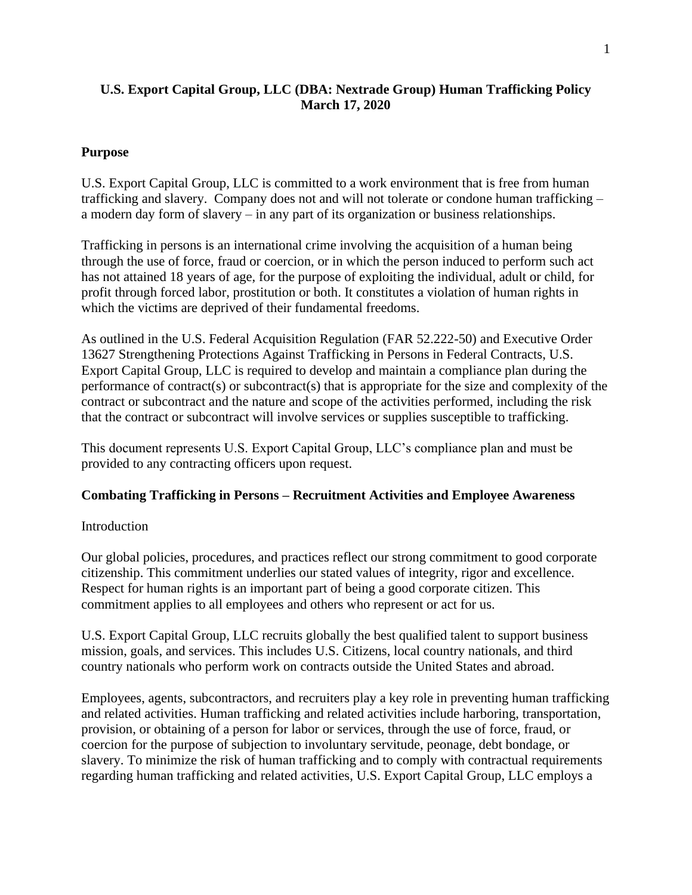## **U.S. Export Capital Group, LLC (DBA: Nextrade Group) Human Trafficking Policy March 17, 2020**

### **Purpose**

U.S. Export Capital Group, LLC is committed to a work environment that is free from human trafficking and slavery. Company does not and will not tolerate or condone human trafficking – a modern day form of slavery – in any part of its organization or business relationships.

Trafficking in persons is an international crime involving the acquisition of a human being through the use of force, fraud or coercion, or in which the person induced to perform such act has not attained 18 years of age, for the purpose of exploiting the individual, adult or child, for profit through forced labor, prostitution or both. It constitutes a violation of human rights in which the victims are deprived of their fundamental freedoms.

As outlined in the U.S. Federal Acquisition Regulation (FAR 52.222-50) and Executive Order 13627 Strengthening Protections Against Trafficking in Persons in Federal Contracts, U.S. Export Capital Group, LLC is required to develop and maintain a compliance plan during the performance of contract(s) or subcontract(s) that is appropriate for the size and complexity of the contract or subcontract and the nature and scope of the activities performed, including the risk that the contract or subcontract will involve services or supplies susceptible to trafficking.

This document represents U.S. Export Capital Group, LLC's compliance plan and must be provided to any contracting officers upon request.

#### **Combating Trafficking in Persons – Recruitment Activities and Employee Awareness**

#### **Introduction**

Our global policies, procedures, and practices reflect our strong commitment to good corporate citizenship. This commitment underlies our stated values of integrity, rigor and excellence. Respect for human rights is an important part of being a good corporate citizen. This commitment applies to all employees and others who represent or act for us.

U.S. Export Capital Group, LLC recruits globally the best qualified talent to support business mission, goals, and services. This includes U.S. Citizens, local country nationals, and third country nationals who perform work on contracts outside the United States and abroad.

Employees, agents, subcontractors, and recruiters play a key role in preventing human trafficking and related activities. Human trafficking and related activities include harboring, transportation, provision, or obtaining of a person for labor or services, through the use of force, fraud, or coercion for the purpose of subjection to involuntary servitude, peonage, debt bondage, or slavery. To minimize the risk of human trafficking and to comply with contractual requirements regarding human trafficking and related activities, U.S. Export Capital Group, LLC employs a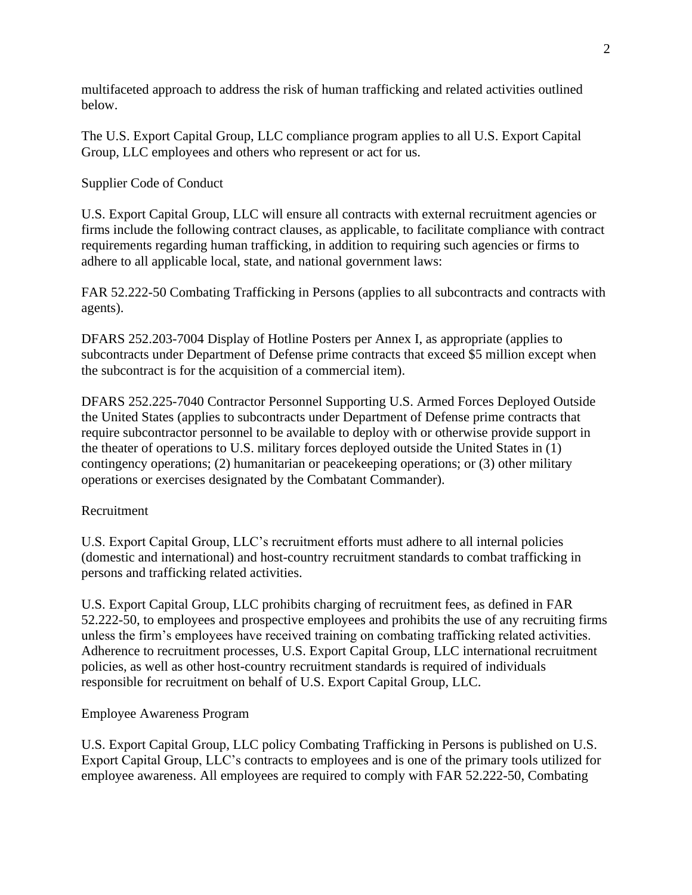multifaceted approach to address the risk of human trafficking and related activities outlined below.

The U.S. Export Capital Group, LLC compliance program applies to all U.S. Export Capital Group, LLC employees and others who represent or act for us.

### Supplier Code of Conduct

U.S. Export Capital Group, LLC will ensure all contracts with external recruitment agencies or firms include the following contract clauses, as applicable, to facilitate compliance with contract requirements regarding human trafficking, in addition to requiring such agencies or firms to adhere to all applicable local, state, and national government laws:

FAR 52.222-50 Combating Trafficking in Persons (applies to all subcontracts and contracts with agents).

DFARS 252.203-7004 Display of Hotline Posters per Annex I, as appropriate (applies to subcontracts under Department of Defense prime contracts that exceed \$5 million except when the subcontract is for the acquisition of a commercial item).

DFARS 252.225-7040 Contractor Personnel Supporting U.S. Armed Forces Deployed Outside the United States (applies to subcontracts under Department of Defense prime contracts that require subcontractor personnel to be available to deploy with or otherwise provide support in the theater of operations to U.S. military forces deployed outside the United States in (1) contingency operations; (2) humanitarian or peacekeeping operations; or (3) other military operations or exercises designated by the Combatant Commander).

#### Recruitment

U.S. Export Capital Group, LLC's recruitment efforts must adhere to all internal policies (domestic and international) and host-country recruitment standards to combat trafficking in persons and trafficking related activities.

U.S. Export Capital Group, LLC prohibits charging of recruitment fees, as defined in FAR 52.222-50, to employees and prospective employees and prohibits the use of any recruiting firms unless the firm's employees have received training on combating trafficking related activities. Adherence to recruitment processes, U.S. Export Capital Group, LLC international recruitment policies, as well as other host-country recruitment standards is required of individuals responsible for recruitment on behalf of U.S. Export Capital Group, LLC.

## Employee Awareness Program

U.S. Export Capital Group, LLC policy Combating Trafficking in Persons is published on U.S. Export Capital Group, LLC's contracts to employees and is one of the primary tools utilized for employee awareness. All employees are required to comply with FAR 52.222-50, Combating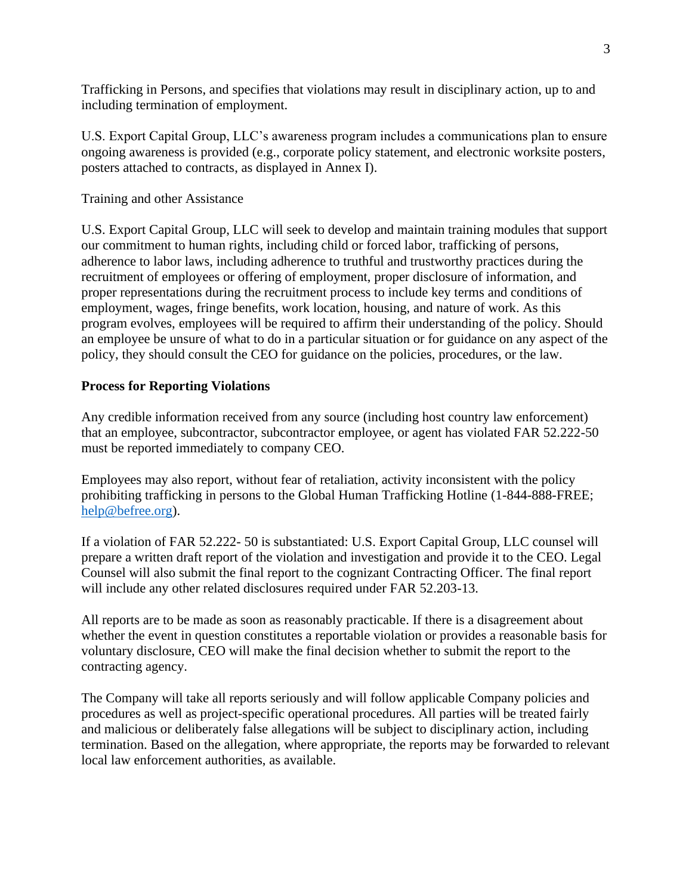Trafficking in Persons, and specifies that violations may result in disciplinary action, up to and including termination of employment.

U.S. Export Capital Group, LLC's awareness program includes a communications plan to ensure ongoing awareness is provided (e.g., corporate policy statement, and electronic worksite posters, posters attached to contracts, as displayed in Annex I).

### Training and other Assistance

U.S. Export Capital Group, LLC will seek to develop and maintain training modules that support our commitment to human rights, including child or forced labor, trafficking of persons, adherence to labor laws, including adherence to truthful and trustworthy practices during the recruitment of employees or offering of employment, proper disclosure of information, and proper representations during the recruitment process to include key terms and conditions of employment, wages, fringe benefits, work location, housing, and nature of work. As this program evolves, employees will be required to affirm their understanding of the policy. Should an employee be unsure of what to do in a particular situation or for guidance on any aspect of the policy, they should consult the CEO for guidance on the policies, procedures, or the law.

### **Process for Reporting Violations**

Any credible information received from any source (including host country law enforcement) that an employee, subcontractor, subcontractor employee, or agent has violated FAR 52.222-50 must be reported immediately to company CEO.

Employees may also report, without fear of retaliation, activity inconsistent with the policy prohibiting trafficking in persons to the Global Human Trafficking Hotline (1-844-888-FREE; [help@befree.org\)](mailto:help@befree.org).

If a violation of FAR 52.222- 50 is substantiated: U.S. Export Capital Group, LLC counsel will prepare a written draft report of the violation and investigation and provide it to the CEO. Legal Counsel will also submit the final report to the cognizant Contracting Officer. The final report will include any other related disclosures required under FAR 52.203-13.

All reports are to be made as soon as reasonably practicable. If there is a disagreement about whether the event in question constitutes a reportable violation or provides a reasonable basis for voluntary disclosure, CEO will make the final decision whether to submit the report to the contracting agency.

The Company will take all reports seriously and will follow applicable Company policies and procedures as well as project-specific operational procedures. All parties will be treated fairly and malicious or deliberately false allegations will be subject to disciplinary action, including termination. Based on the allegation, where appropriate, the reports may be forwarded to relevant local law enforcement authorities, as available.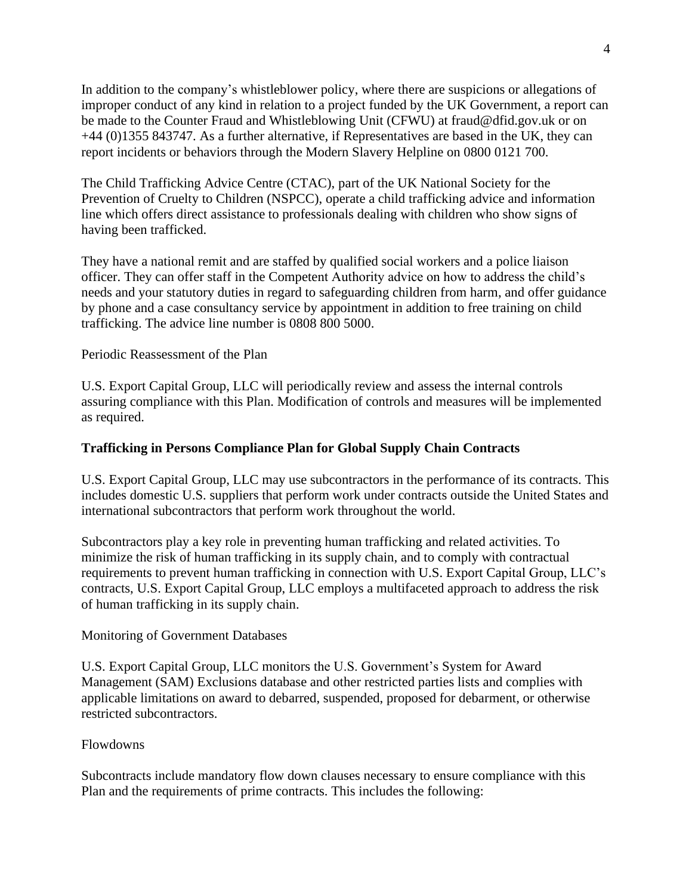In addition to the company's whistleblower policy, where there are suspicions or allegations of improper conduct of any kind in relation to a project funded by the UK Government, a report can be made to the Counter Fraud and Whistleblowing Unit (CFWU) at fraud@dfid.gov.uk or on +44 (0)1355 843747. As a further alternative, if Representatives are based in the UK, they can report incidents or behaviors through the Modern Slavery Helpline on 0800 0121 700.

The Child Trafficking Advice Centre (CTAC), part of the UK National Society for the Prevention of Cruelty to Children (NSPCC), operate a child trafficking advice and information line which offers direct assistance to professionals dealing with children who show signs of having been trafficked.

They have a national remit and are staffed by qualified social workers and a police liaison officer. They can offer staff in the Competent Authority advice on how to address the child's needs and your statutory duties in regard to safeguarding children from harm, and offer guidance by phone and a case consultancy service by appointment in addition to free training on child trafficking. The advice line number is 0808 800 5000.

#### Periodic Reassessment of the Plan

U.S. Export Capital Group, LLC will periodically review and assess the internal controls assuring compliance with this Plan. Modification of controls and measures will be implemented as required.

### **Trafficking in Persons Compliance Plan for Global Supply Chain Contracts**

U.S. Export Capital Group, LLC may use subcontractors in the performance of its contracts. This includes domestic U.S. suppliers that perform work under contracts outside the United States and international subcontractors that perform work throughout the world.

Subcontractors play a key role in preventing human trafficking and related activities. To minimize the risk of human trafficking in its supply chain, and to comply with contractual requirements to prevent human trafficking in connection with U.S. Export Capital Group, LLC's contracts, U.S. Export Capital Group, LLC employs a multifaceted approach to address the risk of human trafficking in its supply chain.

#### Monitoring of Government Databases

U.S. Export Capital Group, LLC monitors the U.S. Government's System for Award Management (SAM) Exclusions database and other restricted parties lists and complies with applicable limitations on award to debarred, suspended, proposed for debarment, or otherwise restricted subcontractors.

#### Flowdowns

Subcontracts include mandatory flow down clauses necessary to ensure compliance with this Plan and the requirements of prime contracts. This includes the following: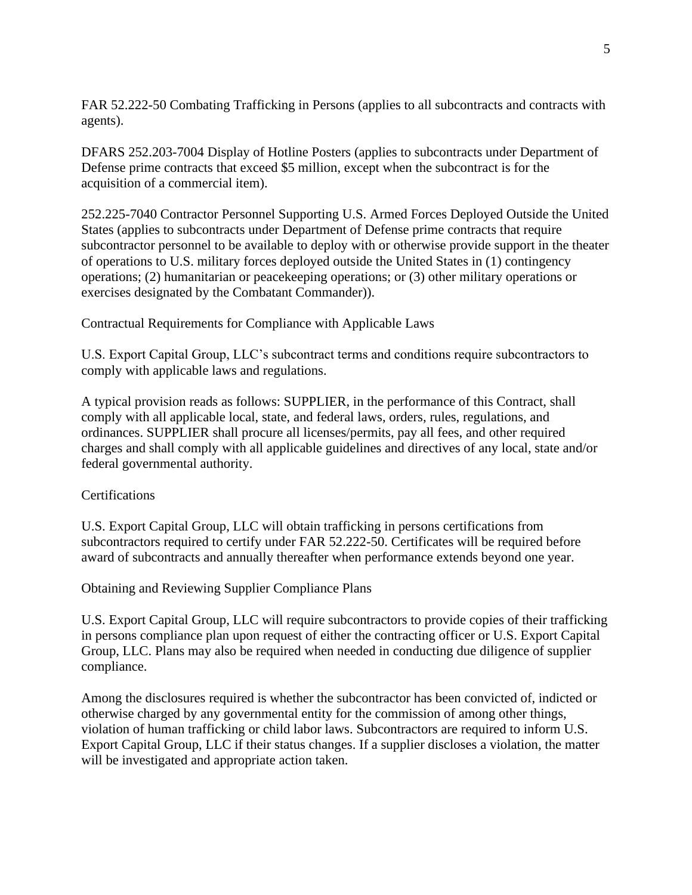FAR 52.222-50 Combating Trafficking in Persons (applies to all subcontracts and contracts with agents).

DFARS 252.203-7004 Display of Hotline Posters (applies to subcontracts under Department of Defense prime contracts that exceed \$5 million, except when the subcontract is for the acquisition of a commercial item).

252.225-7040 Contractor Personnel Supporting U.S. Armed Forces Deployed Outside the United States (applies to subcontracts under Department of Defense prime contracts that require subcontractor personnel to be available to deploy with or otherwise provide support in the theater of operations to U.S. military forces deployed outside the United States in (1) contingency operations; (2) humanitarian or peacekeeping operations; or (3) other military operations or exercises designated by the Combatant Commander)).

Contractual Requirements for Compliance with Applicable Laws

U.S. Export Capital Group, LLC's subcontract terms and conditions require subcontractors to comply with applicable laws and regulations.

A typical provision reads as follows: SUPPLIER, in the performance of this Contract, shall comply with all applicable local, state, and federal laws, orders, rules, regulations, and ordinances. SUPPLIER shall procure all licenses/permits, pay all fees, and other required charges and shall comply with all applicable guidelines and directives of any local, state and/or federal governmental authority.

## **Certifications**

U.S. Export Capital Group, LLC will obtain trafficking in persons certifications from subcontractors required to certify under FAR 52.222-50. Certificates will be required before award of subcontracts and annually thereafter when performance extends beyond one year.

Obtaining and Reviewing Supplier Compliance Plans

U.S. Export Capital Group, LLC will require subcontractors to provide copies of their trafficking in persons compliance plan upon request of either the contracting officer or U.S. Export Capital Group, LLC. Plans may also be required when needed in conducting due diligence of supplier compliance.

Among the disclosures required is whether the subcontractor has been convicted of, indicted or otherwise charged by any governmental entity for the commission of among other things, violation of human trafficking or child labor laws. Subcontractors are required to inform U.S. Export Capital Group, LLC if their status changes. If a supplier discloses a violation, the matter will be investigated and appropriate action taken.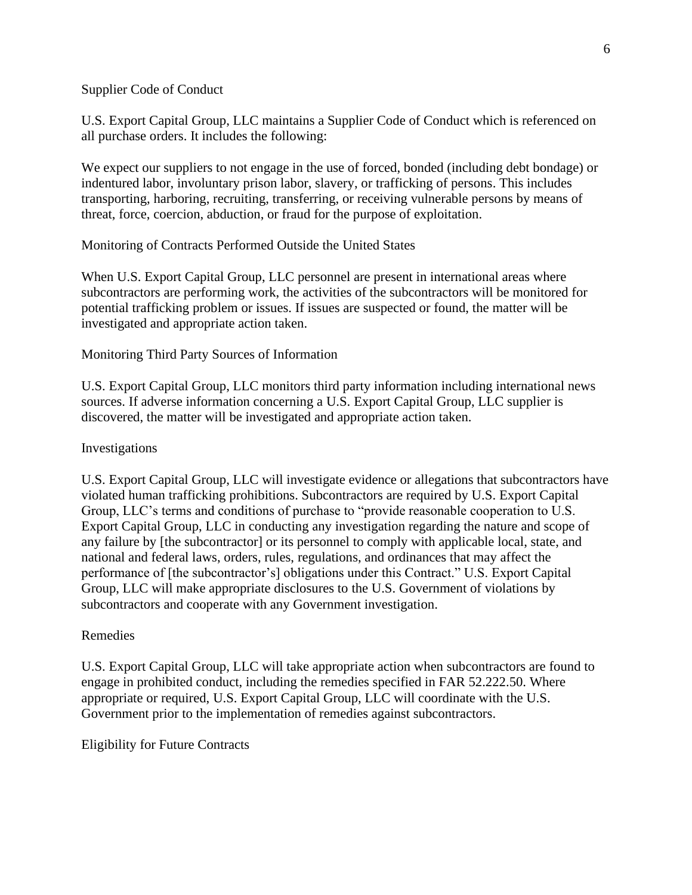Supplier Code of Conduct

U.S. Export Capital Group, LLC maintains a Supplier Code of Conduct which is referenced on all purchase orders. It includes the following:

We expect our suppliers to not engage in the use of forced, bonded (including debt bondage) or indentured labor, involuntary prison labor, slavery, or trafficking of persons. This includes transporting, harboring, recruiting, transferring, or receiving vulnerable persons by means of threat, force, coercion, abduction, or fraud for the purpose of exploitation.

Monitoring of Contracts Performed Outside the United States

When U.S. Export Capital Group, LLC personnel are present in international areas where subcontractors are performing work, the activities of the subcontractors will be monitored for potential trafficking problem or issues. If issues are suspected or found, the matter will be investigated and appropriate action taken.

#### Monitoring Third Party Sources of Information

U.S. Export Capital Group, LLC monitors third party information including international news sources. If adverse information concerning a U.S. Export Capital Group, LLC supplier is discovered, the matter will be investigated and appropriate action taken.

#### Investigations

U.S. Export Capital Group, LLC will investigate evidence or allegations that subcontractors have violated human trafficking prohibitions. Subcontractors are required by U.S. Export Capital Group, LLC's terms and conditions of purchase to "provide reasonable cooperation to U.S. Export Capital Group, LLC in conducting any investigation regarding the nature and scope of any failure by [the subcontractor] or its personnel to comply with applicable local, state, and national and federal laws, orders, rules, regulations, and ordinances that may affect the performance of [the subcontractor's] obligations under this Contract." U.S. Export Capital Group, LLC will make appropriate disclosures to the U.S. Government of violations by subcontractors and cooperate with any Government investigation.

#### Remedies

U.S. Export Capital Group, LLC will take appropriate action when subcontractors are found to engage in prohibited conduct, including the remedies specified in FAR 52.222.50. Where appropriate or required, U.S. Export Capital Group, LLC will coordinate with the U.S. Government prior to the implementation of remedies against subcontractors.

Eligibility for Future Contracts